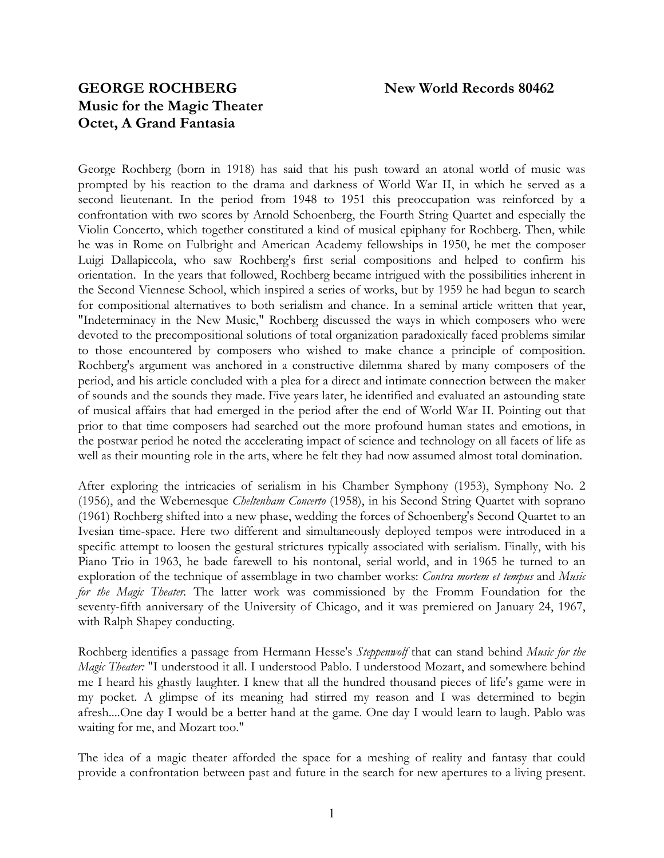# **GEORGE ROCHBERG New World Records 80462 Music for the Magic Theater Octet, A Grand Fantasia**

George Rochberg (born in 1918) has said that his push toward an atonal world of music was prompted by his reaction to the drama and darkness of World War II, in which he served as a second lieutenant. In the period from 1948 to 1951 this preoccupation was reinforced by a confrontation with two scores by Arnold Schoenberg, the Fourth String Quartet and especially the Violin Concerto, which together constituted a kind of musical epiphany for Rochberg. Then, while he was in Rome on Fulbright and American Academy fellowships in 1950, he met the composer Luigi Dallapiccola, who saw Rochberg's first serial compositions and helped to confirm his orientation. In the years that followed, Rochberg became intrigued with the possibilities inherent in the Second Viennese School, which inspired a series of works, but by 1959 he had begun to search for compositional alternatives to both serialism and chance. In a seminal article written that year, "Indeterminacy in the New Music," Rochberg discussed the ways in which composers who were devoted to the precompositional solutions of total organization paradoxically faced problems similar to those encountered by composers who wished to make chance a principle of composition. Rochberg's argument was anchored in a constructive dilemma shared by many composers of the period, and his article concluded with a plea for a direct and intimate connection between the maker of sounds and the sounds they made. Five years later, he identified and evaluated an astounding state of musical affairs that had emerged in the period after the end of World War II. Pointing out that prior to that time composers had searched out the more profound human states and emotions, in the postwar period he noted the accelerating impact of science and technology on all facets of life as well as their mounting role in the arts, where he felt they had now assumed almost total domination.

After exploring the intricacies of serialism in his Chamber Symphony (1953), Symphony No. 2 (1956), and the Webernesque *Cheltenham Concerto* (1958), in his Second String Quartet with soprano (1961) Rochberg shifted into a new phase, wedding the forces of Schoenberg's Second Quartet to an Ivesian time-space. Here two different and simultaneously deployed tempos were introduced in a specific attempt to loosen the gestural strictures typically associated with serialism. Finally, with his Piano Trio in 1963, he bade farewell to his nontonal, serial world, and in 1965 he turned to an exploration of the technique of assemblage in two chamber works: *Contra mortem et tempus* and *Music for the Magic Theater.* The latter work was commissioned by the Fromm Foundation for the seventy-fifth anniversary of the University of Chicago, and it was premiered on January 24, 1967, with Ralph Shapey conducting.

Rochberg identifies a passage from Hermann Hesse's *Steppenwolf* that can stand behind *Music for the Magic Theater:* "I understood it all. I understood Pablo. I understood Mozart, and somewhere behind me I heard his ghastly laughter. I knew that all the hundred thousand pieces of life's game were in my pocket. A glimpse of its meaning had stirred my reason and I was determined to begin afresh....One day I would be a better hand at the game. One day I would learn to laugh. Pablo was waiting for me, and Mozart too."

The idea of a magic theater afforded the space for a meshing of reality and fantasy that could provide a confrontation between past and future in the search for new apertures to a living present.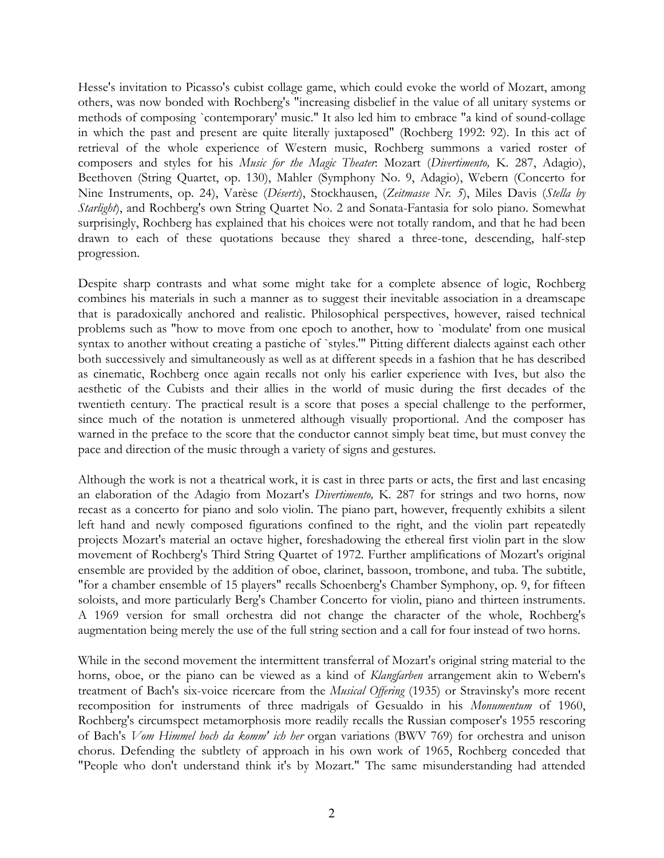Hesse's invitation to Picasso's cubist collage game, which could evoke the world of Mozart, among others, was now bonded with Rochberg's "increasing disbelief in the value of all unitary systems or methods of composing `contemporary' music." It also led him to embrace "a kind of sound-collage in which the past and present are quite literally juxtaposed" (Rochberg 1992: 92). In this act of retrieval of the whole experience of Western music, Rochberg summons a varied roster of composers and styles for his *Music for the Magic Theater*: Mozart (*Divertimento,* K. 287, Adagio), Beethoven (String Quartet, op. 130), Mahler (Symphony No. 9, Adagio), Webern (Concerto for Nine Instruments, op. 24), Varèse (*Déserts*), Stockhausen, (*Zeitmasse Nr. 5*), Miles Davis (*Stella by Starlight*), and Rochberg's own String Quartet No. 2 and Sonata-Fantasia for solo piano. Somewhat surprisingly, Rochberg has explained that his choices were not totally random, and that he had been drawn to each of these quotations because they shared a three-tone, descending, half-step progression.

Despite sharp contrasts and what some might take for a complete absence of logic, Rochberg combines his materials in such a manner as to suggest their inevitable association in a dreamscape that is paradoxically anchored and realistic. Philosophical perspectives, however, raised technical problems such as "how to move from one epoch to another, how to `modulate' from one musical syntax to another without creating a pastiche of `styles." Pitting different dialects against each other both successively and simultaneously as well as at different speeds in a fashion that he has described as cinematic, Rochberg once again recalls not only his earlier experience with Ives, but also the aesthetic of the Cubists and their allies in the world of music during the first decades of the twentieth century. The practical result is a score that poses a special challenge to the performer, since much of the notation is unmetered although visually proportional. And the composer has warned in the preface to the score that the conductor cannot simply beat time, but must convey the pace and direction of the music through a variety of signs and gestures.

Although the work is not a theatrical work, it is cast in three parts or acts, the first and last encasing an elaboration of the Adagio from Mozart's *Divertimento,* K. 287 for strings and two horns, now recast as a concerto for piano and solo violin. The piano part, however, frequently exhibits a silent left hand and newly composed figurations confined to the right, and the violin part repeatedly projects Mozart's material an octave higher, foreshadowing the ethereal first violin part in the slow movement of Rochberg's Third String Quartet of 1972. Further amplifications of Mozart's original ensemble are provided by the addition of oboe, clarinet, bassoon, trombone, and tuba. The subtitle, "for a chamber ensemble of 15 players" recalls Schoenberg's Chamber Symphony, op. 9, for fifteen soloists, and more particularly Berg's Chamber Concerto for violin, piano and thirteen instruments. A 1969 version for small orchestra did not change the character of the whole, Rochberg's augmentation being merely the use of the full string section and a call for four instead of two horns.

While in the second movement the intermittent transferral of Mozart's original string material to the horns, oboe, or the piano can be viewed as a kind of *Klangfarben* arrangement akin to Webern's treatment of Bach's six-voice ricercare from the *Musical Offering* (1935) or Stravinsky's more recent recomposition for instruments of three madrigals of Gesualdo in his *Monumentum* of 1960, Rochberg's circumspect metamorphosis more readily recalls the Russian composer's 1955 rescoring of Bach's *Vom Himmel hoch da komm' ich her* organ variations (BWV 769) for orchestra and unison chorus. Defending the subtlety of approach in his own work of 1965, Rochberg conceded that "People who don't understand think it's by Mozart." The same misunderstanding had attended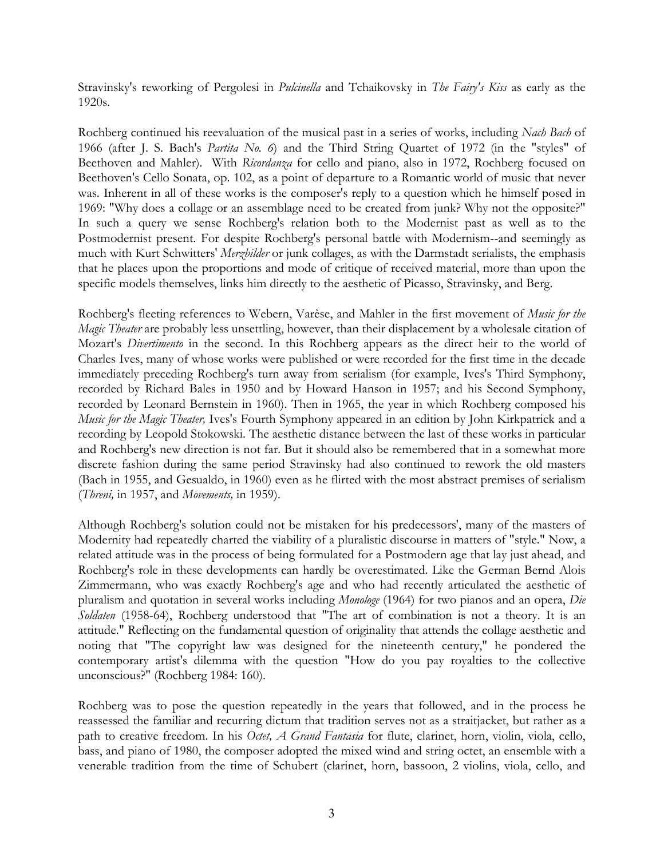Stravinsky's reworking of Pergolesi in *Pulcinella* and Tchaikovsky in *The Fairy's Kiss* as early as the 1920s.

Rochberg continued his reevaluation of the musical past in a series of works, including *Nach Bach* of 1966 (after J. S. Bach's *Partita No. 6*) and the Third String Quartet of 1972 (in the "styles" of Beethoven and Mahler). With *Ricordanza* for cello and piano, also in 1972, Rochberg focused on Beethoven's Cello Sonata, op. 102, as a point of departure to a Romantic world of music that never was. Inherent in all of these works is the composer's reply to a question which he himself posed in 1969: "Why does a collage or an assemblage need to be created from junk? Why not the opposite?" In such a query we sense Rochberg's relation both to the Modernist past as well as to the Postmodernist present. For despite Rochberg's personal battle with Modernism--and seemingly as much with Kurt Schwitters' *Merzbilder* or junk collages, as with the Darmstadt serialists, the emphasis that he places upon the proportions and mode of critique of received material, more than upon the specific models themselves, links him directly to the aesthetic of Picasso, Stravinsky, and Berg.

Rochberg's fleeting references to Webern, Varèse, and Mahler in the first movement of *Music for the Magic Theater* are probably less unsettling, however, than their displacement by a wholesale citation of Mozart's *Divertimento* in the second. In this Rochberg appears as the direct heir to the world of Charles Ives, many of whose works were published or were recorded for the first time in the decade immediately preceding Rochberg's turn away from serialism (for example, Ives's Third Symphony, recorded by Richard Bales in 1950 and by Howard Hanson in 1957; and his Second Symphony, recorded by Leonard Bernstein in 1960). Then in 1965, the year in which Rochberg composed his *Music for the Magic Theater,* Ives's Fourth Symphony appeared in an edition by John Kirkpatrick and a recording by Leopold Stokowski. The aesthetic distance between the last of these works in particular and Rochberg's new direction is not far. But it should also be remembered that in a somewhat more discrete fashion during the same period Stravinsky had also continued to rework the old masters (Bach in 1955, and Gesualdo, in 1960) even as he flirted with the most abstract premises of serialism (*Threni,* in 1957, and *Movements,* in 1959).

Although Rochberg's solution could not be mistaken for his predecessors', many of the masters of Modernity had repeatedly charted the viability of a pluralistic discourse in matters of "style." Now, a related attitude was in the process of being formulated for a Postmodern age that lay just ahead, and Rochberg's role in these developments can hardly be overestimated. Like the German Bernd Alois Zimmermann, who was exactly Rochberg's age and who had recently articulated the aesthetic of pluralism and quotation in several works including *Monologe* (1964) for two pianos and an opera, *Die Soldaten* (1958-64), Rochberg understood that "The art of combination is not a theory. It is an attitude." Reflecting on the fundamental question of originality that attends the collage aesthetic and noting that "The copyright law was designed for the nineteenth century," he pondered the contemporary artist's dilemma with the question "How do you pay royalties to the collective unconscious?" (Rochberg 1984: 160).

Rochberg was to pose the question repeatedly in the years that followed, and in the process he reassessed the familiar and recurring dictum that tradition serves not as a straitjacket, but rather as a path to creative freedom. In his *Octet, A Grand Fantasia* for flute, clarinet, horn, violin, viola, cello, bass, and piano of 1980, the composer adopted the mixed wind and string octet, an ensemble with a venerable tradition from the time of Schubert (clarinet, horn, bassoon, 2 violins, viola, cello, and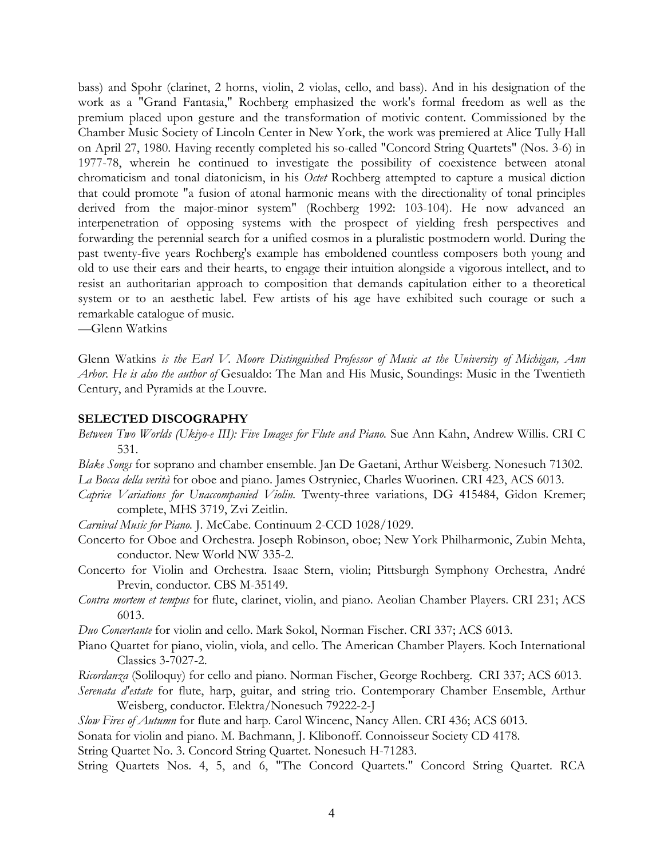bass) and Spohr (clarinet, 2 horns, violin, 2 violas, cello, and bass). And in his designation of the work as a "Grand Fantasia," Rochberg emphasized the work's formal freedom as well as the premium placed upon gesture and the transformation of motivic content. Commissioned by the Chamber Music Society of Lincoln Center in New York, the work was premiered at Alice Tully Hall on April 27, 1980. Having recently completed his so-called "Concord String Quartets" (Nos. 3-6) in 1977-78, wherein he continued to investigate the possibility of coexistence between atonal chromaticism and tonal diatonicism, in his *Octet* Rochberg attempted to capture a musical diction that could promote "a fusion of atonal harmonic means with the directionality of tonal principles derived from the major-minor system" (Rochberg 1992: 103-104). He now advanced an interpenetration of opposing systems with the prospect of yielding fresh perspectives and forwarding the perennial search for a unified cosmos in a pluralistic postmodern world. During the past twenty-five years Rochberg's example has emboldened countless composers both young and old to use their ears and their hearts, to engage their intuition alongside a vigorous intellect, and to resist an authoritarian approach to composition that demands capitulation either to a theoretical system or to an aesthetic label. Few artists of his age have exhibited such courage or such a remarkable catalogue of music.

—Glenn Watkins

Glenn Watkins *is the Earl V. Moore Distinguished Professor of Music at the University of Michigan, Ann Arbor. He is also the author of* Gesualdo: The Man and His Music, Soundings: Music in the Twentieth Century, and Pyramids at the Louvre.

#### **SELECTED DISCOGRAPHY**

- *Between Two Worlds (Ukiyo-e III): Five Images for Flute and Piano.* Sue Ann Kahn, Andrew Willis. CRI C 531.
- *Blake Songs* for soprano and chamber ensemble. Jan De Gaetani, Arthur Weisberg. Nonesuch 71302. *La Bocca della verità* for oboe and piano. James Ostryniec, Charles Wuorinen. CRI 423, ACS 6013.
- *Caprice Variations for Unaccompanied Violin.* Twenty-three variations, DG 415484, Gidon Kremer; complete, MHS 3719, Zvi Zeitlin.
- *Carnival Music for Piano.* J. McCabe. Continuum 2-CCD 1028/1029.
- Concerto for Oboe and Orchestra. Joseph Robinson, oboe; New York Philharmonic, Zubin Mehta, conductor. New World NW 335-2.
- Concerto for Violin and Orchestra. Isaac Stern, violin; Pittsburgh Symphony Orchestra, André Previn, conductor. CBS M-35149.
- *Contra mortem et tempus* for flute, clarinet, violin, and piano. Aeolian Chamber Players. CRI 231; ACS 6013.

*Duo Concertante* for violin and cello. Mark Sokol, Norman Fischer. CRI 337; ACS 6013.

- Piano Quartet for piano, violin, viola, and cello. The American Chamber Players. Koch International Classics 3-7027-2.
- *Ricordanza* (Soliloquy) for cello and piano. Norman Fischer, George Rochberg. CRI 337; ACS 6013.
- *Serenata d'estate* for flute, harp, guitar, and string trio. Contemporary Chamber Ensemble, Arthur Weisberg, conductor. Elektra/Nonesuch 79222-2-J
- *Slow Fires of Autumn* for flute and harp. Carol Wincenc, Nancy Allen. CRI 436; ACS 6013.
- Sonata for violin and piano. M. Bachmann, J. Klibonoff. Connoisseur Society CD 4178.

String Quartet No. 3. Concord String Quartet. Nonesuch H-71283.

String Quartets Nos. 4, 5, and 6, "The Concord Quartets." Concord String Quartet. RCA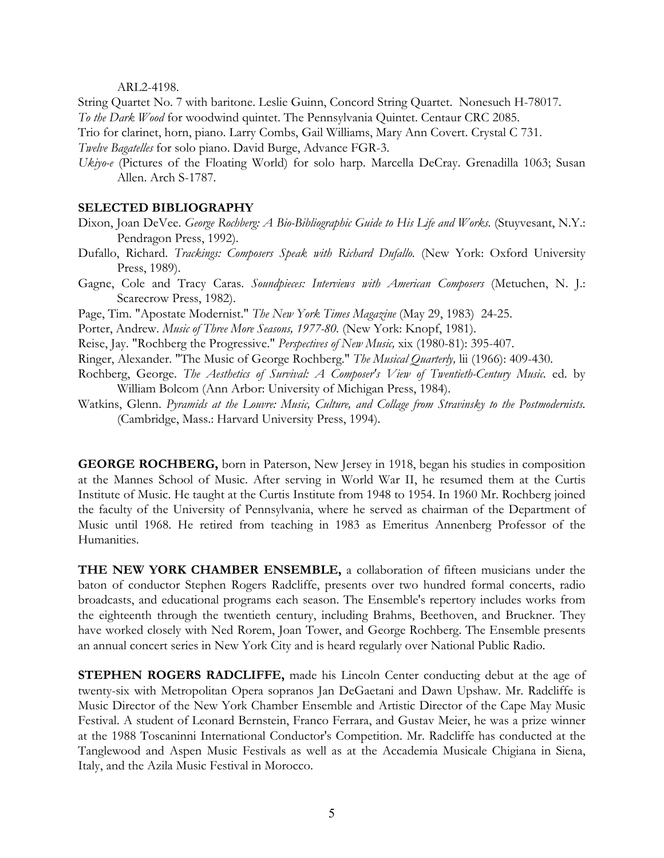#### ARL2-4198.

String Quartet No. 7 with baritone. Leslie Guinn, Concord String Quartet. Nonesuch H-78017. *To the Dark Wood* for woodwind quintet. The Pennsylvania Quintet. Centaur CRC 2085.

Trio for clarinet, horn, piano. Larry Combs, Gail Williams, Mary Ann Covert. Crystal C 731.

*Twelve Bagatelles* for solo piano. David Burge, Advance FGR-3.

*Ukiyo-e* (Pictures of the Floating World) for solo harp. Marcella DeCray. Grenadilla 1063; Susan Allen. Arch S-1787.

#### **SELECTED BIBLIOGRAPHY**

- Dixon, Joan DeVee. *George Rochberg: A Bio-Bibliographic Guide to His Life and Works.* (Stuyvesant, N.Y.: Pendragon Press, 1992).
- Dufallo, Richard. *Trackings: Composers Speak with Richard Dufallo.* (New York: Oxford University Press, 1989).
- Gagne, Cole and Tracy Caras. *Soundpieces: Interviews with American Composers* (Metuchen, N. J.: Scarecrow Press, 1982).
- Page, Tim. "Apostate Modernist." *The New York Times Magazine* (May 29, 1983) 24-25.
- Porter, Andrew. *Music of Three More Seasons, 1977-80.* (New York: Knopf, 1981).
- Reise, Jay. "Rochberg the Progressive." *Perspectives of New Music,* xix (1980-81): 395-407.
- Ringer, Alexander. "The Music of George Rochberg." *The Musical Quarterly,* lii (1966): 409-430.
- Rochberg, George. *The Aesthetics of Survival: A Composer's View of Twentieth-Century Music.* ed. by William Bolcom (Ann Arbor: University of Michigan Press, 1984).
- Watkins, Glenn. *Pyramids at the Louvre: Music, Culture, and Collage from Stravinsky to the Postmodernists.* (Cambridge, Mass.: Harvard University Press, 1994).

**GEORGE ROCHBERG,** born in Paterson, New Jersey in 1918, began his studies in composition at the Mannes School of Music. After serving in World War II, he resumed them at the Curtis Institute of Music. He taught at the Curtis Institute from 1948 to 1954. In 1960 Mr. Rochberg joined the faculty of the University of Pennsylvania, where he served as chairman of the Department of Music until 1968. He retired from teaching in 1983 as Emeritus Annenberg Professor of the Humanities.

**THE NEW YORK CHAMBER ENSEMBLE,** a collaboration of fifteen musicians under the baton of conductor Stephen Rogers Radcliffe, presents over two hundred formal concerts, radio broadcasts, and educational programs each season. The Ensemble's repertory includes works from the eighteenth through the twentieth century, including Brahms, Beethoven, and Bruckner. They have worked closely with Ned Rorem, Joan Tower, and George Rochberg. The Ensemble presents an annual concert series in New York City and is heard regularly over National Public Radio.

**STEPHEN ROGERS RADCLIFFE,** made his Lincoln Center conducting debut at the age of twenty-six with Metropolitan Opera sopranos Jan DeGaetani and Dawn Upshaw. Mr. Radcliffe is Music Director of the New York Chamber Ensemble and Artistic Director of the Cape May Music Festival. A student of Leonard Bernstein, Franco Ferrara, and Gustav Meier, he was a prize winner at the 1988 Toscaninni International Conductor's Competition. Mr. Radcliffe has conducted at the Tanglewood and Aspen Music Festivals as well as at the Accademia Musicale Chigiana in Siena, Italy, and the Azila Music Festival in Morocco.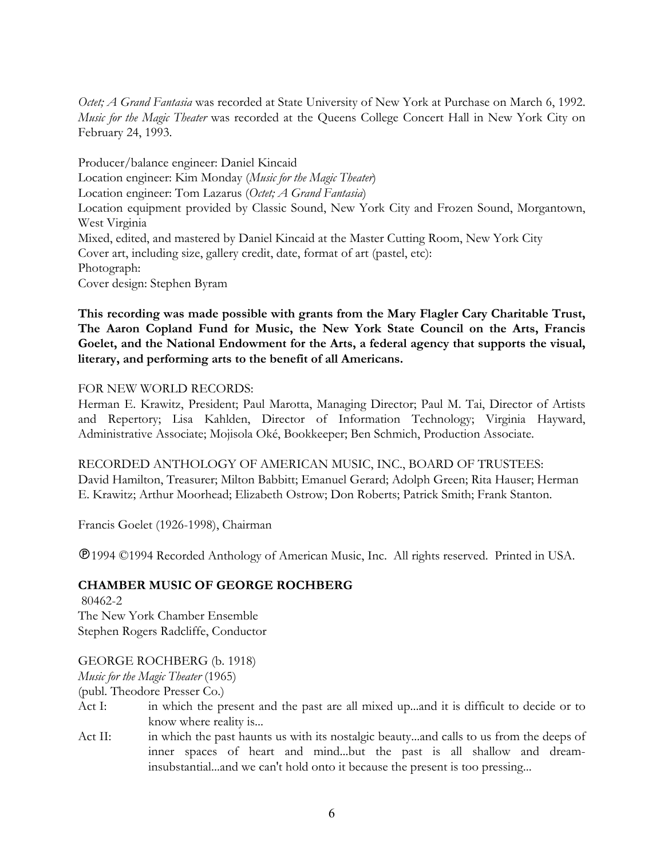*Octet; A Grand Fantasia* was recorded at State University of New York at Purchase on March 6, 1992. *Music for the Magic Theater* was recorded at the Queens College Concert Hall in New York City on February 24, 1993.

Producer/balance engineer: Daniel Kincaid Location engineer: Kim Monday (*Music for the Magic Theater*) Location engineer: Tom Lazarus (*Octet; A Grand Fantasia*) Location equipment provided by Classic Sound, New York City and Frozen Sound, Morgantown, West Virginia Mixed, edited, and mastered by Daniel Kincaid at the Master Cutting Room, New York City Cover art, including size, gallery credit, date, format of art (pastel, etc): Photograph: Cover design: Stephen Byram

**This recording was made possible with grants from the Mary Flagler Cary Charitable Trust, The Aaron Copland Fund for Music, the New York State Council on the Arts, Francis Goelet, and the National Endowment for the Arts, a federal agency that supports the visual, literary, and performing arts to the benefit of all Americans.**

#### FOR NEW WORLD RECORDS:

Herman E. Krawitz, President; Paul Marotta, Managing Director; Paul M. Tai, Director of Artists and Repertory; Lisa Kahlden, Director of Information Technology; Virginia Hayward, Administrative Associate; Mojisola Oké, Bookkeeper; Ben Schmich, Production Associate.

RECORDED ANTHOLOGY OF AMERICAN MUSIC, INC., BOARD OF TRUSTEES: David Hamilton, Treasurer; Milton Babbitt; Emanuel Gerard; Adolph Green; Rita Hauser; Herman E. Krawitz; Arthur Moorhead; Elizabeth Ostrow; Don Roberts; Patrick Smith; Frank Stanton.

Francis Goelet (1926-1998), Chairman

1994 ©1994 Recorded Anthology of American Music, Inc. All rights reserved. Printed in USA.

### **CHAMBER MUSIC OF GEORGE ROCHBERG**

 80462-2 The New York Chamber Ensemble Stephen Rogers Radcliffe, Conductor

### GEORGE ROCHBERG (b. 1918)

*Music for the Magic Theater* (1965)

(publ. Theodore Presser Co.)

- Act I: in which the present and the past are all mixed up...and it is difficult to decide or to know where reality is...
- Act II: in which the past haunts us with its nostalgic beauty...and calls to us from the deeps of inner spaces of heart and mind...but the past is all shallow and dreaminsubstantial...and we can't hold onto it because the present is too pressing...